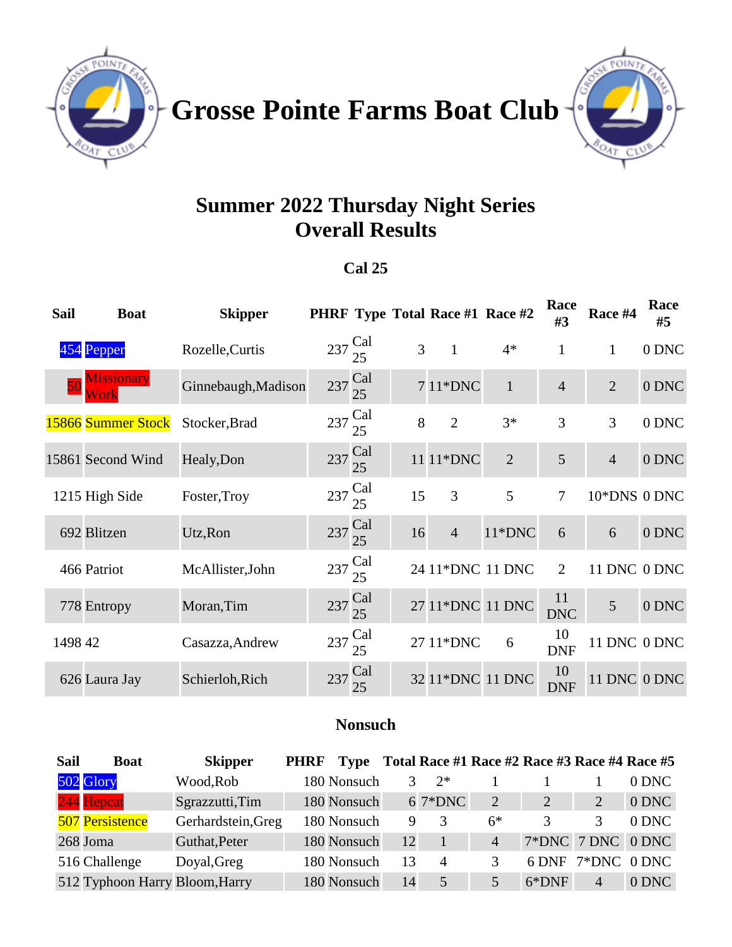

Grosse Pointe Farms Boat Club<sup>-</sup>



# **Summer 2022 Thursday Night Series Overall Results**

#### **Cal 25**

| <b>Sail</b> | <b>Boat</b>        | <b>Skipper</b>      |                            |                            |    | <b>PHRF Type Total Race #1 Race #2</b> |                | Race<br>#3       | Race #4             | Race<br>#5 |
|-------------|--------------------|---------------------|----------------------------|----------------------------|----|----------------------------------------|----------------|------------------|---------------------|------------|
|             | 454 Pepper         | Rozelle, Curtis     | $237 \text{ Cal}$          | 25                         | 3  | $\mathbf{1}$                           | $4*$           | $\mathbf{1}$     | 1                   | 0 DNC      |
|             |                    | Ginnebaugh, Madison | 237 Cal                    | 25                         |    | 7 11*DNC                               | $\mathbf{1}$   | $\overline{4}$   | $\overline{2}$      | 0 DNC      |
|             | 15866 Summer Stock | Stocker, Brad       | $237\frac{\text{Cal}}{25}$ |                            | 8  | $\overline{2}$                         | $3*$           | 3                | 3                   | 0 DNC      |
|             | 15861 Second Wind  | Healy, Don          | $237\frac{\text{Cal}}{25}$ |                            |    | 11 11*DNC                              | $\overline{2}$ | 5                | $\overline{4}$      | 0 DNC      |
|             | 1215 High Side     | Foster, Troy        | $237 \text{ Cal}$          | 25                         | 15 | 3                                      | 5              | $\overline{7}$   | 10*DNS 0 DNC        |            |
|             | 692 Blitzen        | Utz, Ron            |                            | $237\frac{\text{Cal}}{25}$ | 16 | $\overline{4}$                         | 11*DNC         | 6                | 6                   | 0 DNC      |
|             | 466 Patriot        | McAllister, John    | $237 \text{ Cal}$          | 25                         |    | 24 11*DNC 11 DNC                       |                | $\overline{2}$   | 11 DNC 0 DNC        |            |
|             | 778 Entropy        | Moran, Tim          |                            | $237\frac{\text{Cal}}{25}$ |    | 27 11*DNC 11 DNC                       |                | 11<br><b>DNC</b> | 5                   | 0 DNC      |
| 1498 42     |                    | Casazza, Andrew     | $237 \text{ Cal}$          | 25                         |    | 27 11*DNC                              | 6              | 10<br><b>DNF</b> | 11 DNC 0 DNC        |            |
|             | 626 Laura Jay      | Schierloh, Rich     |                            | 237 Cal                    |    | 32 11*DNC 11 DNC                       |                | 10<br><b>DNF</b> | <b>11 DNC 0 DNC</b> |            |

#### **Nonsuch**

| <b>Sail</b> | <b>Boat</b>                    | <b>Skipper</b>     | <b>PHRF</b> | Type        |    |          | Total Race #1 Race #2 Race #3 Race #4 Race #5 |                   |                   |         |
|-------------|--------------------------------|--------------------|-------------|-------------|----|----------|-----------------------------------------------|-------------------|-------------------|---------|
|             | 502 Glory                      | Wood, Rob          |             | 180 Nonsuch |    | $2*$     |                                               |                   |                   | 0 DNC   |
|             | 244 Hepcat                     | Sgrazzutti, Tim    |             | 180 Nonsuch |    | $67*DNC$ | $\mathcal{D}_{\mathcal{L}}$                   | $\overline{2}$    |                   | 0 DNC   |
|             | <b>507 Persistence</b>         | Gerhardstein, Greg |             | 180 Nonsuch | 9  | 3        | $6*$                                          |                   | 3                 | $0$ DNC |
|             | 268 Joma                       | Guthat, Peter      |             | 180 Nonsuch | 12 |          | $\overline{4}$                                | 7*DNC 7 DNC 0 DNC |                   |         |
|             | 516 Challenge                  | Doyal, Greg        |             | 180 Nonsuch | 13 | 4        |                                               |                   | 6 DNF 7*DNC 0 DNC |         |
|             | 512 Typhoon Harry Bloom, Harry |                    |             | 180 Nonsuch | 14 | 5        |                                               | $6*DNF$           | $\overline{4}$    | 0 DNC   |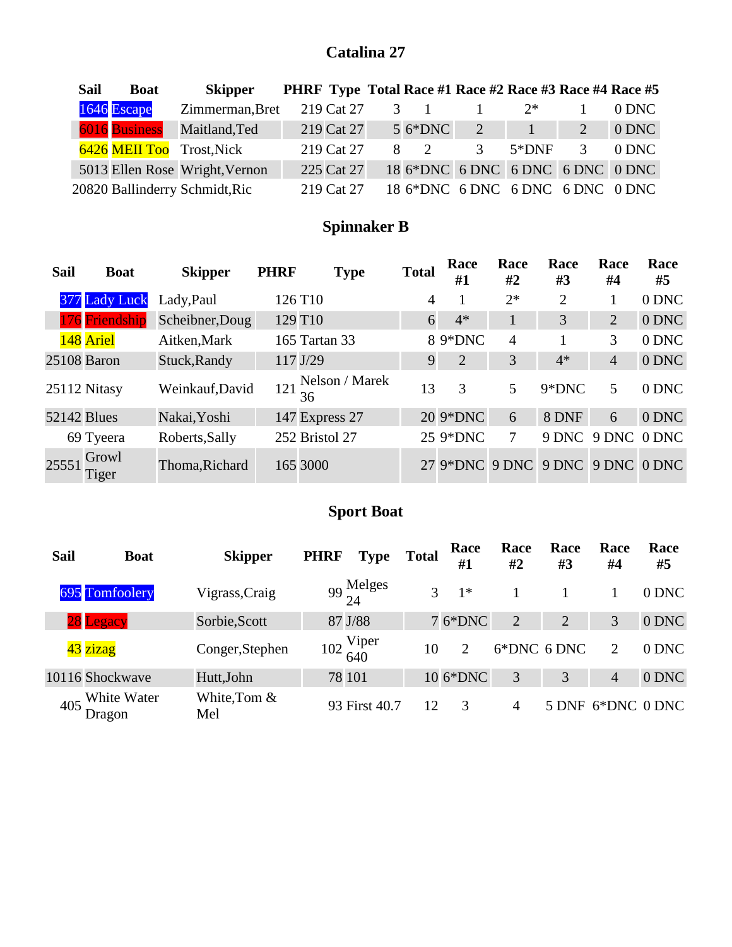#### **Catalina 27**

| <b>Sail</b> | <b>Boat</b>   | <b>Skipper</b>                 |            |             | PHRF Type Total Race #1 Race #2 Race #3 Race #4 Race #5 |                   |               |          |
|-------------|---------------|--------------------------------|------------|-------------|---------------------------------------------------------|-------------------|---------------|----------|
|             | 1646 Escape   | Zimmerman, Bret                | 219 Cat 27 | $3 \quad 1$ |                                                         | $2^*$             |               | $0$ DNC. |
|             | 6016 Business | Maitland, Ted                  | 219 Cat 27 | $56*DNC$    | 2                                                       | $\vert 1 \rangle$ | 2             | $0$ DNC  |
|             |               | 6426 MEII Too Trost, Nick      | 219 Cat 27 | $8 \quad 2$ | $\mathcal{R}$                                           | $5*DNF$           | $\mathcal{F}$ | $0$ DNC  |
|             |               | 5013 Ellen Rose Wright, Vernon | 225 Cat 27 |             | 18 6*DNC 6 DNC 6 DNC 6 DNC 0 DNC                        |                   |               |          |
|             |               | 20820 Ballinderry Schmidt, Ric | 219 Cat 27 |             | 18 6*DNC 6 DNC 6 DNC 6 DNC 0 DNC                        |                   |               |          |

## **Spinnaker B**

| Sail               | <b>Boat</b>    | <b>Skipper</b>  | <b>PHRF</b> | <b>Type</b>          | <b>Total</b> | Race<br>#1                       | Race<br>#2     | Race<br>#3     | Race<br>#4     | Race<br>#5 |
|--------------------|----------------|-----------------|-------------|----------------------|--------------|----------------------------------|----------------|----------------|----------------|------------|
|                    | 377 Lady Luck  | Lady, Paul      |             | 126 T10              | 4            |                                  | $2*$           | $\overline{2}$ |                | 0 DNC      |
|                    | 176 Friendship | Scheibner, Doug |             | 129 T <sub>10</sub>  | 6            | $4*$                             | 1              | 3              | 2              | 0 DNC      |
|                    | 148 Ariel      | Aitken, Mark    |             | 165 Tartan 33        |              | 8 9*DNC                          | $\overline{4}$ |                | 3              | 0 DNC      |
|                    | 25108 Baron    | Stuck, Randy    |             | 117 J/29             | 9            | $\overline{2}$                   | 3              | $4*$           | $\overline{4}$ | 0 DNC      |
|                    | 25112 Nitasy   | Weinkauf, David | 121         | Nelson / Marek<br>36 | 13           | 3                                | 5              | 9*DNC          | 5              | 0 DNC      |
| <b>52142 Blues</b> |                | Nakai, Yoshi    |             | 147 Express 27       |              | 20 9*DNC                         | 6              | 8 DNF          | 6              | 0 DNC      |
|                    | 69 Tyeera      | Roberts, Sally  |             | 252 Bristol 27       |              | 25 9*DNC                         | 7              | 9 DNC          | 9 DNC          | 0 DNC      |
| 25551              | Growl<br>Tiger | Thoma, Richard  |             | 165 3000             |              | 27 9*DNC 9 DNC 9 DNC 9 DNC 0 DNC |                |                |                |            |

### **Sport Boat**

| Sail | <b>Boat</b>           | <b>Skipper</b>      | <b>PHRF</b>                   | <b>Type</b>                  | <b>Total</b> | Race<br>#1 | Race<br>#2     | Race<br>#3 | Race<br>#4        | Race<br>#5 |
|------|-----------------------|---------------------|-------------------------------|------------------------------|--------------|------------|----------------|------------|-------------------|------------|
|      | 695 Tomfoolery        | Vigrass, Craig      |                               | $99\frac{\text{Melges}}{24}$ | 3            | $1*$       |                |            |                   | 0 DNC      |
|      | 28 Legacy             | Sorbie, Scott       |                               | 87 J/88                      |              | 7 6*DNC    | 2              | 2          | 3                 | 0 DNC      |
|      | 43 zizag              | Conger, Stephen     | $102\frac{\text{Viper}}{640}$ |                              | 10           | 2          | 6*DNC 6 DNC    |            | $\overline{2}$    | 0 DNC      |
|      | 10116 Shockwave       | Hutt, John          |                               | 78 101                       |              | 10 6*DNC   | 3              | 3          | $\overline{4}$    | 0 DNC      |
| 405  | White Water<br>Dragon | White, Tom &<br>Mel |                               | 93 First 40.7                | 12           | 3          | $\overline{4}$ |            | 5 DNF 6*DNC 0 DNC |            |